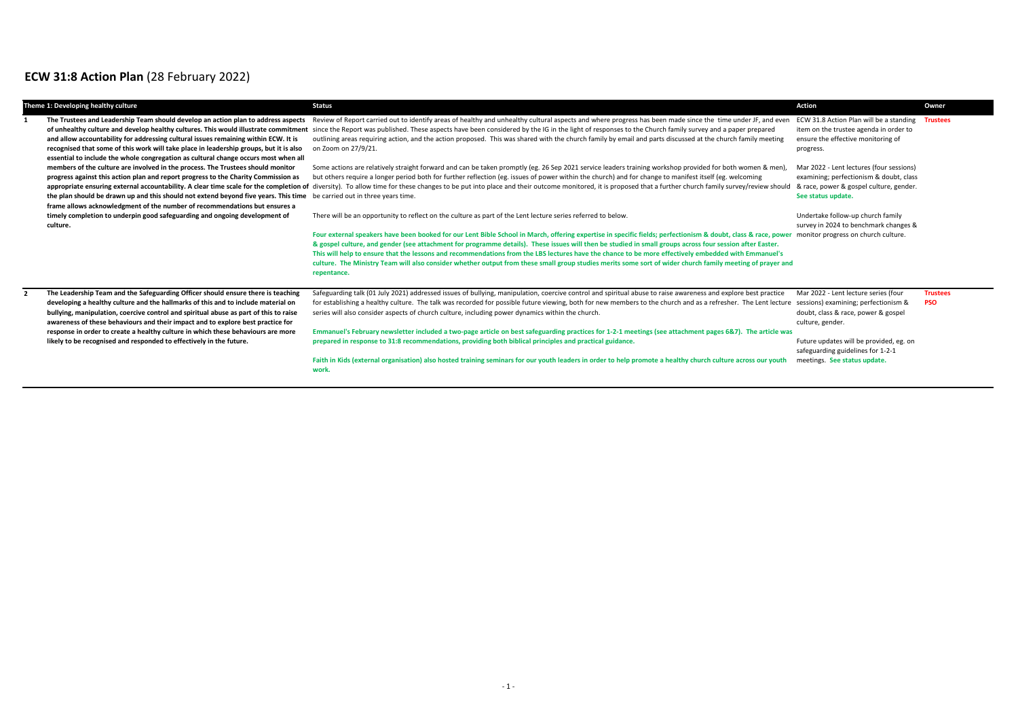## **ECW 31:8 Action Plan** (28 February 2022)

| Theme 1: Developing healthy culture                                                                                                                                                                                                                                                                                                                                                                                                                                                                          | <b>Status</b>                                                                                                                                                                                                                                                                                                                                                                                                                                                                                                                                                                                                                                                                                                                                                                                                                                                                         | Action                                                                                                                                                                                                                                                  | Owner                         |
|--------------------------------------------------------------------------------------------------------------------------------------------------------------------------------------------------------------------------------------------------------------------------------------------------------------------------------------------------------------------------------------------------------------------------------------------------------------------------------------------------------------|---------------------------------------------------------------------------------------------------------------------------------------------------------------------------------------------------------------------------------------------------------------------------------------------------------------------------------------------------------------------------------------------------------------------------------------------------------------------------------------------------------------------------------------------------------------------------------------------------------------------------------------------------------------------------------------------------------------------------------------------------------------------------------------------------------------------------------------------------------------------------------------|---------------------------------------------------------------------------------------------------------------------------------------------------------------------------------------------------------------------------------------------------------|-------------------------------|
| The Trustees and Leadership Team should develop an action plan to address aspects<br>and allow accountability for addressing cultural issues remaining within ECW. It is<br>recognised that some of this work will take place in leadership groups, but it is also<br>essential to include the whole congregation as cultural change occurs most when all                                                                                                                                                    | Review of Report carried out to identify areas of healthy and unhealthy cultural aspects and where progress has been made since the time under JF, and even<br>of unhealthy culture and develop healthy cultures. This would illustrate commitment since the Report was published. These aspects have been considered by the IG in the light of responses to the Church family survey and a p<br>outlining areas requiring action, and the action proposed. This was shared with the church family by email and parts discussed at the church family meeting<br>on Zoom on 27/9/21.                                                                                                                                                                                                                                                                                                   | ECW 31.8 Action Plan will be a standing<br>item on the trustee agenda in order to<br>ensure the effective monitoring of<br>progress.                                                                                                                    | <b>Trustees</b>               |
| members of the culture are involved in the process. The Trustees should monitor<br>progress against this action plan and report progress to the Charity Commission as<br>the plan should be drawn up and this should not extend beyond five years. This time<br>frame allows acknowledgment of the number of recommendations but ensures a                                                                                                                                                                   | Some actions are relatively straight forward and can be taken promptly (eg. 26 Sep 2021 service leaders training workshop provided for both women & men),<br>but others require a longer period both for further reflection (eg. issues of power within the church) and for change to manifest itself (eg. welcoming<br>appropriate ensuring external accountability. A clear time scale for the completion of diversity). To allow time for these changes to be put into place and their outcome monitored, it is proposed that a further church fami<br>be carried out in three years time.                                                                                                                                                                                                                                                                                         | Mar 2022 - Lent lectures (four sessions)<br>examining; perfectionism & doubt, class<br>& race, power & gospel culture, gender.<br>See status update.                                                                                                    |                               |
| timely completion to underpin good safeguarding and ongoing development of<br>culture.                                                                                                                                                                                                                                                                                                                                                                                                                       | There will be an opportunity to reflect on the culture as part of the Lent lecture series referred to below.<br>Four external speakers have been booked for our Lent Bible School in March, offering expertise in specific fields; perfectionism & doubt, class & race, power monitor progress on church culture.<br>& gospel culture, and gender (see attachment for programme details). These issues will then be studied in small groups across four session after Easter.<br>This will help to ensure that the lessons and recommendations from the LBS lectures have the chance to be more effectively embedded with Emmanuel's<br>culture. The Ministry Team will also consider whether output from these small group studies merits some sort of wider church family meeting of prayer and<br>repentance.                                                                      | Undertake follow-up church family<br>survey in 2024 to benchmark changes &                                                                                                                                                                              |                               |
| The Leadership Team and the Safeguarding Officer should ensure there is teaching<br>developing a healthy culture and the hallmarks of this and to include material on<br>bullying, manipulation, coercive control and spiritual abuse as part of this to raise<br>awareness of these behaviours and their impact and to explore best practice for<br>response in order to create a healthy culture in which these behaviours are more<br>likely to be recognised and responded to effectively in the future. | Safeguarding talk (01 July 2021) addressed issues of bullying, manipulation, coercive control and spiritual abuse to raise awareness and explore best practice<br>for establishing a healthy culture. The talk was recorded for possible future viewing, both for new members to the church and as a refresher. The Lent lecture<br>series will also consider aspects of church culture, including power dynamics within the church.<br>Emmanuel's February newsletter included a two-page article on best safeguarding practices for 1-2-1 meetings (see attachment pages 6&7). The article was<br>prepared in response to 31:8 recommendations, providing both biblical principles and practical guidance.<br>Faith in Kids (external organisation) also hosted training seminars for our youth leaders in order to help promote a healthy church culture across our youth<br>work. | Mar 2022 - Lent lecture series (four<br>sessions) examining; perfectionism &<br>doubt, class & race, power & gospel<br>culture, gender.<br>Future updates will be provided, eg. on<br>safeguarding guidelines for 1-2-1<br>meetings. See status update. | <b>Trustees</b><br><b>PSO</b> |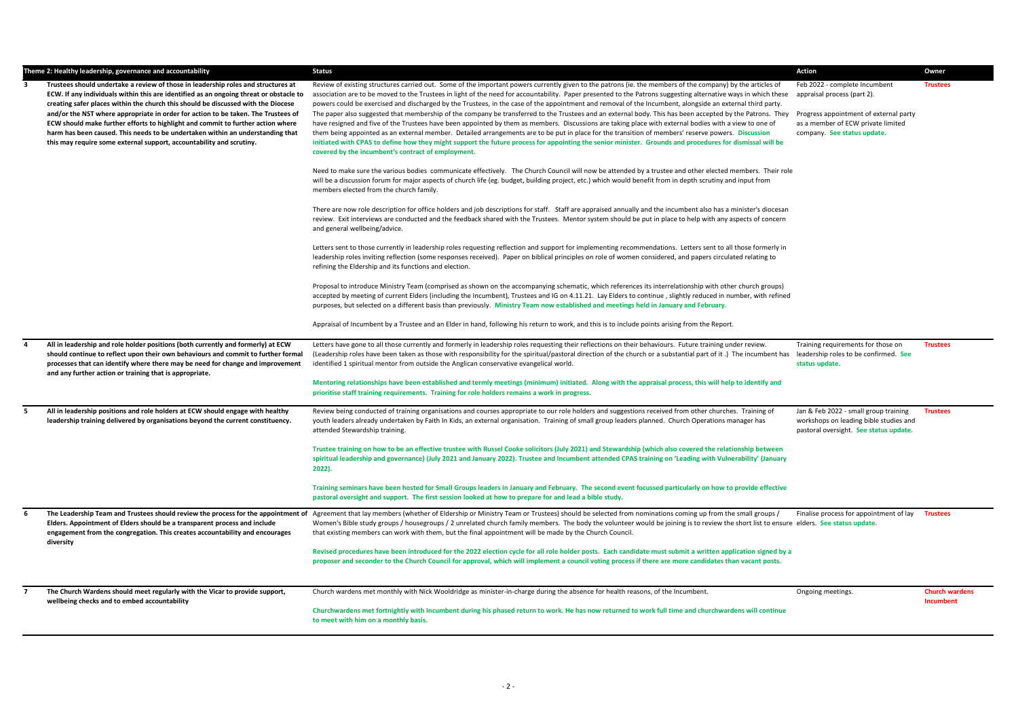|                | Theme 2: Healthy leadership, governance and accountability                                                                                                                                                                                                                                                                                                                                                                                                                                                                                                                                         | <b>Status</b>                                                                                                                                                                                                                                                                                                                                                                                                                                                                                                                                                                                                                                                                                                                                                                                                                                                                                                                                                                                                                                                                                                                                                                           | Action                                                                                                                                                                      | Owner                              |
|----------------|----------------------------------------------------------------------------------------------------------------------------------------------------------------------------------------------------------------------------------------------------------------------------------------------------------------------------------------------------------------------------------------------------------------------------------------------------------------------------------------------------------------------------------------------------------------------------------------------------|-----------------------------------------------------------------------------------------------------------------------------------------------------------------------------------------------------------------------------------------------------------------------------------------------------------------------------------------------------------------------------------------------------------------------------------------------------------------------------------------------------------------------------------------------------------------------------------------------------------------------------------------------------------------------------------------------------------------------------------------------------------------------------------------------------------------------------------------------------------------------------------------------------------------------------------------------------------------------------------------------------------------------------------------------------------------------------------------------------------------------------------------------------------------------------------------|-----------------------------------------------------------------------------------------------------------------------------------------------------------------------------|------------------------------------|
| 3              | Trustees should undertake a review of those in leadership roles and structures at<br>ECW. If any individuals within this are identified as an ongoing threat or obstacle to<br>creating safer places within the church this should be discussed with the Diocese<br>and/or the NST where appropriate in order for action to be taken. The Trustees of<br>ECW should make further efforts to highlight and commit to further action where<br>harm has been caused. This needs to be undertaken within an understanding that<br>this may require some external support, accountability and scrutiny. | Review of existing structures carried out. Some of the important powers currently given to the patrons (ie. the members of the company) by the articles of<br>association are to be moved to the Trustees in light of the need for accountability. Paper presented to the Patrons suggesting alternative ways in which these<br>powers could be exercised and discharged by the Trustees, in the case of the appointment and removal of the Incumbent, alongside an external third party.<br>The paper also suggested that membership of the company be transferred to the Trustees and an external body. This has been accepted by the Patrons. They<br>have resigned and five of the Trustees have been appointed by them as members. Discussions are taking place with external bodies with a view to one of<br>them being appointed as an external member. Detailed arrangements are to be put in place for the transition of members' reserve powers. Discussion<br>initiated with CPAS to define how they might support the future process for appointing the senior minister. Grounds and procedures for dismissal will be<br>covered by the incumbent's contract of employment. | Feb 2022 - complete Incumbent<br>appraisal process (part 2).<br>Progress appointment of external party<br>as a member of ECW private limited<br>company. See status update. | <b>Trustees</b>                    |
|                |                                                                                                                                                                                                                                                                                                                                                                                                                                                                                                                                                                                                    | Need to make sure the various bodies communicate effectively. The Church Council will now be attended by a trustee and other elected members. Their role<br>will be a discussion forum for major aspects of church life (eg. budget, building project, etc.) which would benefit from in depth scrutiny and input from<br>members elected from the church family.                                                                                                                                                                                                                                                                                                                                                                                                                                                                                                                                                                                                                                                                                                                                                                                                                       |                                                                                                                                                                             |                                    |
|                |                                                                                                                                                                                                                                                                                                                                                                                                                                                                                                                                                                                                    | There are now role description for office holders and job descriptions for staff. Staff are appraised annually and the incumbent also has a minister's diocesan<br>review. Exit interviews are conducted and the feedback shared with the Trustees. Mentor system should be put in place to help with any aspects of concern<br>and general wellbeing/advice.                                                                                                                                                                                                                                                                                                                                                                                                                                                                                                                                                                                                                                                                                                                                                                                                                           |                                                                                                                                                                             |                                    |
|                |                                                                                                                                                                                                                                                                                                                                                                                                                                                                                                                                                                                                    | Letters sent to those currently in leadership roles requesting reflection and support for implementing recommendations. Letters sent to all those formerly in<br>leadership roles inviting reflection (some responses received). Paper on biblical principles on role of women considered, and papers circulated relating to<br>refining the Eldership and its functions and election.                                                                                                                                                                                                                                                                                                                                                                                                                                                                                                                                                                                                                                                                                                                                                                                                  |                                                                                                                                                                             |                                    |
|                |                                                                                                                                                                                                                                                                                                                                                                                                                                                                                                                                                                                                    | Proposal to introduce Ministry Team (comprised as shown on the accompanying schematic, which references its interrelationship with other church groups)<br>accepted by meeting of current Elders (including the Incumbent), Trustees and IG on 4.11.21. Lay Elders to continue, slightly reduced in number, with refined<br>purposes, but selected on a different basis than previously. Ministry Team now established and meetings held in January and February.                                                                                                                                                                                                                                                                                                                                                                                                                                                                                                                                                                                                                                                                                                                       |                                                                                                                                                                             |                                    |
|                |                                                                                                                                                                                                                                                                                                                                                                                                                                                                                                                                                                                                    | Appraisal of Incumbent by a Trustee and an Elder in hand, following his return to work, and this is to include points arising from the Report.                                                                                                                                                                                                                                                                                                                                                                                                                                                                                                                                                                                                                                                                                                                                                                                                                                                                                                                                                                                                                                          |                                                                                                                                                                             |                                    |
| 4              | All in leadership and role holder positions (both currently and formerly) at ECW<br>should continue to reflect upon their own behaviours and commit to further formal<br>processes that can identify where there may be need for change and improvement<br>and any further action or training that is appropriate.                                                                                                                                                                                                                                                                                 | Letters have gone to all those currently and formerly in leadership roles requesting their reflections on their behaviours. Future training under review.<br>(Leadership roles have been taken as those with responsibility for the spiritual/pastoral direction of the church or a substantial part of it.) The incumbent has<br>identified 1 spiritual mentor from outside the Anglican conservative evangelical world.                                                                                                                                                                                                                                                                                                                                                                                                                                                                                                                                                                                                                                                                                                                                                               | Training requirements for those on<br>leadership roles to be confirmed. See<br>status update.                                                                               | <b>Trustees</b>                    |
|                |                                                                                                                                                                                                                                                                                                                                                                                                                                                                                                                                                                                                    | Mentoring relationships have been established and termly meetings (minimum) initiated. Along with the appraisal process, this will help to identify and<br>prioritise staff training requirements. Training for role holders remains a work in progress.                                                                                                                                                                                                                                                                                                                                                                                                                                                                                                                                                                                                                                                                                                                                                                                                                                                                                                                                |                                                                                                                                                                             |                                    |
| 5              | All in leadership positions and role holders at ECW should engage with healthy<br>leadership training delivered by organisations beyond the current constituency.                                                                                                                                                                                                                                                                                                                                                                                                                                  | Review being conducted of training organisations and courses appropriate to our role holders and suggestions received from other churches. Training of<br>youth leaders already undertaken by Faith In Kids, an external organisation. Training of small group leaders planned. Church Operations manager has<br>attended Stewardship training.                                                                                                                                                                                                                                                                                                                                                                                                                                                                                                                                                                                                                                                                                                                                                                                                                                         | Jan & Feb 2022 - small group training<br>workshops on leading bible studies and<br>pastoral oversight. See status update.                                                   | <b>Trustees</b>                    |
|                |                                                                                                                                                                                                                                                                                                                                                                                                                                                                                                                                                                                                    | Trustee training on how to be an effective trustee with Russel Cooke solicitors (July 2021) and Stewardship (which also covered the relationship between<br>spiritual leadership and governance) (July 2021 and January 2022). Trustee and Incumbent attended CPAS training on 'Leading with Vulnerability' (January<br>2022).                                                                                                                                                                                                                                                                                                                                                                                                                                                                                                                                                                                                                                                                                                                                                                                                                                                          |                                                                                                                                                                             |                                    |
|                |                                                                                                                                                                                                                                                                                                                                                                                                                                                                                                                                                                                                    | Training seminars have been hosted for Small Groups leaders in January and February. The second event focussed particularly on how to provide effective<br>pastoral oversight and support. The first session looked at how to prepare for and lead a bible study.                                                                                                                                                                                                                                                                                                                                                                                                                                                                                                                                                                                                                                                                                                                                                                                                                                                                                                                       |                                                                                                                                                                             |                                    |
| 6              | The Leadership Team and Trustees should review the process for the appointment of<br>Elders. Appointment of Elders should be a transparent process and include<br>engagement from the congregation. This creates accountability and encourages<br>diversity                                                                                                                                                                                                                                                                                                                                        | Agreement that lay members (whether of Eldership or Ministry Team or Trustees) should be selected from nominations coming up from the small groups /<br>Women's Bible study groups / housegroups / 2 unrelated church family members. The body the volunteer would be joining is to review the short list to ensure elders. See status update.<br>that existing members can work with them, but the final appointment will be made by the Church Council.                                                                                                                                                                                                                                                                                                                                                                                                                                                                                                                                                                                                                                                                                                                               | Finalise process for appointment of lay                                                                                                                                     | <b>Trustees</b>                    |
|                |                                                                                                                                                                                                                                                                                                                                                                                                                                                                                                                                                                                                    | Revised procedures have been introduced for the 2022 election cycle for all role holder posts. Each candidate must submit a written application signed by a<br>proposer and seconder to the Church Council for approval, which will implement a council voting process if there are more candidates than vacant posts.                                                                                                                                                                                                                                                                                                                                                                                                                                                                                                                                                                                                                                                                                                                                                                                                                                                                  |                                                                                                                                                                             |                                    |
| $\overline{7}$ | The Church Wardens should meet regularly with the Vicar to provide support,<br>wellbeing checks and to embed accountability                                                                                                                                                                                                                                                                                                                                                                                                                                                                        | Church wardens met monthly with Nick Wooldridge as minister-in-charge during the absence for health reasons, of the Incumbent.                                                                                                                                                                                                                                                                                                                                                                                                                                                                                                                                                                                                                                                                                                                                                                                                                                                                                                                                                                                                                                                          | Ongoing meetings.                                                                                                                                                           | <b>Church wardens</b><br>Incumbent |
|                |                                                                                                                                                                                                                                                                                                                                                                                                                                                                                                                                                                                                    | Churchwardens met fortnightly with Incumbent during his phased return to work. He has now returned to work full time and churchwardens will continue<br>to meet with him on a monthly basis.                                                                                                                                                                                                                                                                                                                                                                                                                                                                                                                                                                                                                                                                                                                                                                                                                                                                                                                                                                                            |                                                                                                                                                                             |                                    |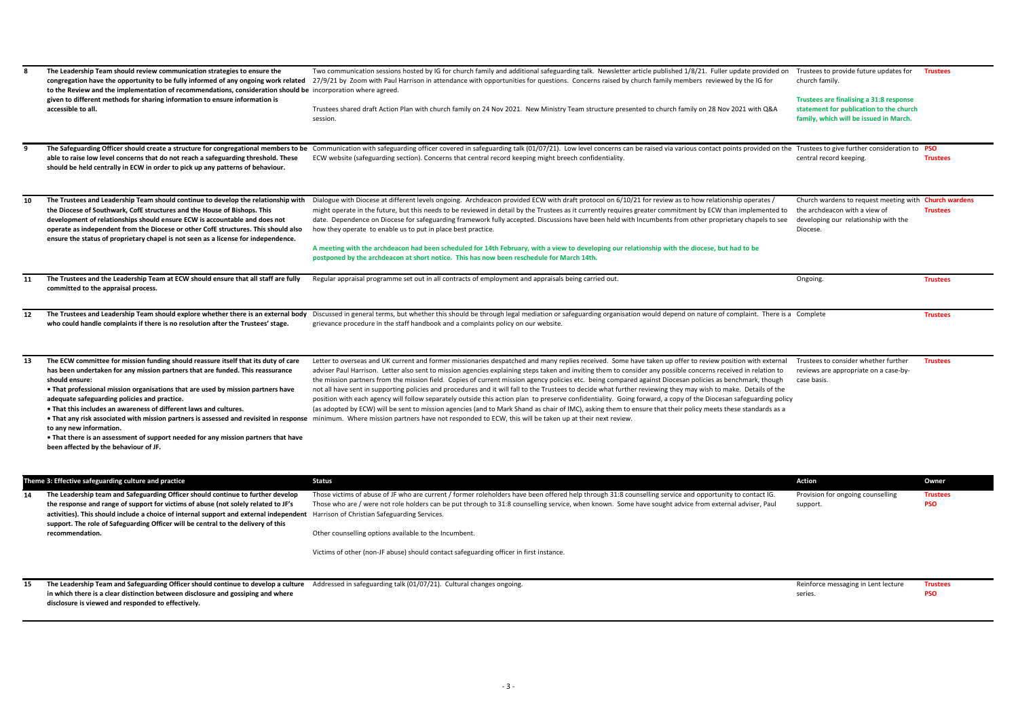| 8  | The Leadership Team should review communication strategies to ensure the<br>to the Review and the implementation of recommendations, consideration should be incorporation where agreed.<br>given to different methods for sharing information to ensure information is<br>accessible to all.                                                                                                                                                                                                                                                             | Two communication sessions hosted by IG for church family and additional safeguarding talk. Newsletter article published 1/8/21. Fuller update provided on<br>congregation have the opportunity to be fully informed of any ongoing work related 27/9/21 by Zoom with Paul Harrison in attendance with opportunities for questions. Concerns raised by church family members reviewed by the<br>Trustees shared draft Action Plan with church family on 24 Nov 2021. New Ministry Team structure presented to church family on 28 Nov 2021 with Q&A<br>session.                                                                                                                                                                                                                                                                                                                                                                                                                                                                                                                                                                                                                                  | Trustees to provide future updates for<br>church family.<br>Trustees are finalising a 31:8 response<br>statement for publication to the church<br>family, which will be issued in March. | <b>Trustees</b>               |
|----|-----------------------------------------------------------------------------------------------------------------------------------------------------------------------------------------------------------------------------------------------------------------------------------------------------------------------------------------------------------------------------------------------------------------------------------------------------------------------------------------------------------------------------------------------------------|--------------------------------------------------------------------------------------------------------------------------------------------------------------------------------------------------------------------------------------------------------------------------------------------------------------------------------------------------------------------------------------------------------------------------------------------------------------------------------------------------------------------------------------------------------------------------------------------------------------------------------------------------------------------------------------------------------------------------------------------------------------------------------------------------------------------------------------------------------------------------------------------------------------------------------------------------------------------------------------------------------------------------------------------------------------------------------------------------------------------------------------------------------------------------------------------------|------------------------------------------------------------------------------------------------------------------------------------------------------------------------------------------|-------------------------------|
| 9  | able to raise low level concerns that do not reach a safeguarding threshold. These<br>should be held centrally in ECW in order to pick up any patterns of behaviour.                                                                                                                                                                                                                                                                                                                                                                                      | The Safeguarding Officer should create a structure for congregational members to be Communication with safeguarding officer covered in safeguarding talk (01/07/21). Low level concerns can be raised via various contact poin<br>ECW website (safeguarding section). Concerns that central record keeping might breech confidentiality.                                                                                                                                                                                                                                                                                                                                                                                                                                                                                                                                                                                                                                                                                                                                                                                                                                                         | central record keeping.                                                                                                                                                                  | <b>PSO</b><br><b>Trustees</b> |
| 10 | The Trustees and Leadership Team should continue to develop the relationship with<br>the Diocese of Southwark, CofE structures and the House of Bishops. This<br>development of relationships should ensure ECW is accountable and does not<br>operate as independent from the Diocese or other CofE structures. This should also<br>ensure the status of proprietary chapel is not seen as a license for independence.                                                                                                                                   | Dialogue with Diocese at different levels ongoing. Archdeacon provided ECW with draft protocol on 6/10/21 for review as to how relationship operates /<br>might operate in the future, but this needs to be reviewed in detail by the Trustees as it currently requires greater commitment by ECW than implemented to<br>date. Dependence on Diocese for safeguarding framework fully accepted. Discussions have been held with Incumbents from other proprietary chapels to see<br>how they operate to enable us to put in place best practice.<br>A meeting with the archdeacon had been scheduled for 14th February, with a view to developing our relationship with the diocese, but had to be<br>postponed by the archdeacon at short notice. This has now been reschedule for March 14th.                                                                                                                                                                                                                                                                                                                                                                                                  | Church wardens to request meeting with Church wardens<br>the archdeacon with a view of<br>developing our relationship with the<br>Diocese.                                               | <b>Trustees</b>               |
| 11 | The Trustees and the Leadership Team at ECW should ensure that all staff are fully<br>committed to the appraisal process.                                                                                                                                                                                                                                                                                                                                                                                                                                 | Regular appraisal programme set out in all contracts of employment and appraisals being carried out.                                                                                                                                                                                                                                                                                                                                                                                                                                                                                                                                                                                                                                                                                                                                                                                                                                                                                                                                                                                                                                                                                             | Ongoing.                                                                                                                                                                                 | <b>Trustees</b>               |
| 12 | who could handle complaints if there is no resolution after the Trustees' stage.                                                                                                                                                                                                                                                                                                                                                                                                                                                                          | The Trustees and Leadership Team should explore whether there is an external body Discussed in general terms, but whether this should be through legal mediation or safeguarding organisation would depend on nature of compla<br>grievance procedure in the staff handbook and a complaints policy on our website.                                                                                                                                                                                                                                                                                                                                                                                                                                                                                                                                                                                                                                                                                                                                                                                                                                                                              |                                                                                                                                                                                          | <b>Trustees</b>               |
| 13 | The ECW committee for mission funding should reassure itself that its duty of care<br>has been undertaken for any mission partners that are funded. This reassurance<br>should ensure:<br>. That professional mission organisations that are used by mission partners have<br>adequate safeguarding policies and practice.<br>. That this includes an awareness of different laws and cultures.<br>to any new information.<br>• That there is an assessment of support needed for any mission partners that have<br>been affected by the behaviour of JF. | Letter to overseas and UK current and former missionaries despatched and many replies received. Some have taken up offer to review position with external<br>adviser Paul Harrison. Letter also sent to mission agencies explaining steps taken and inviting them to consider any possible concerns received in relation to<br>the mission partners from the mission field. Copies of current mission agency policies etc. being compared against Diocesan policies as benchmark, though<br>not all have sent in supporting policies and procedures and it will fall to the Trustees to decide what further reviewing they may wish to make. Details of the<br>position with each agency will follow separately outside this action plan to preserve confidentiality. Going forward, a copy of the Diocesan safeguarding policy<br>(as adopted by ECW) will be sent to mission agencies (and to Mark Shand as chair of IMC), asking them to ensure that their policy meets these standards as a<br>. That any risk associated with mission partners is assessed and revisited in response minimum. Where mission partners have not responded to ECW, this will be taken up at their next review. | Trustees to consider whether further<br>reviews are appropriate on a case-by-<br>case basis.                                                                                             | <b>Trustees</b>               |
|    | Theme 3: Effective safeguarding culture and practice                                                                                                                                                                                                                                                                                                                                                                                                                                                                                                      | <b>Status</b>                                                                                                                                                                                                                                                                                                                                                                                                                                                                                                                                                                                                                                                                                                                                                                                                                                                                                                                                                                                                                                                                                                                                                                                    | Action                                                                                                                                                                                   | Owner                         |
| 14 | The Leadership team and Safeguarding Officer should continue to further develop<br>the response and range of support for victims of abuse (not solely related to JF's<br>activities). This should include a choice of internal support and external independent Harrison of Christian Safeguarding Services.<br>support. The role of Safeguarding Officer will be central to the delivery of this<br>recommendation.                                                                                                                                      | Those victims of abuse of JF who are current / former roleholders have been offered help through 31:8 counselling service and opportunity to contact IG.<br>Those who are / were not role holders can be put through to 31:8 counselling service, when known. Some have sought advice from external adviser, Paul<br>Other counselling options available to the Incumbent.<br>Victims of other (non-JF abuse) should contact safeguarding officer in first instance.                                                                                                                                                                                                                                                                                                                                                                                                                                                                                                                                                                                                                                                                                                                             | Provision for ongoing counselling<br>support.                                                                                                                                            | <b>Trustees</b><br><b>PSO</b> |
| 15 | The Leadership Team and Safeguarding Officer should continue to develop a culture<br>in which there is a clear distinction between disclosure and gossiping and where<br>disclosure is viewed and responded to effectively.                                                                                                                                                                                                                                                                                                                               | Addressed in safeguarding talk (01/07/21). Cultural changes ongoing.                                                                                                                                                                                                                                                                                                                                                                                                                                                                                                                                                                                                                                                                                                                                                                                                                                                                                                                                                                                                                                                                                                                             | Reinforce messaging in Lent lecture<br>series.                                                                                                                                           | <b>Trustees</b><br><b>PSO</b> |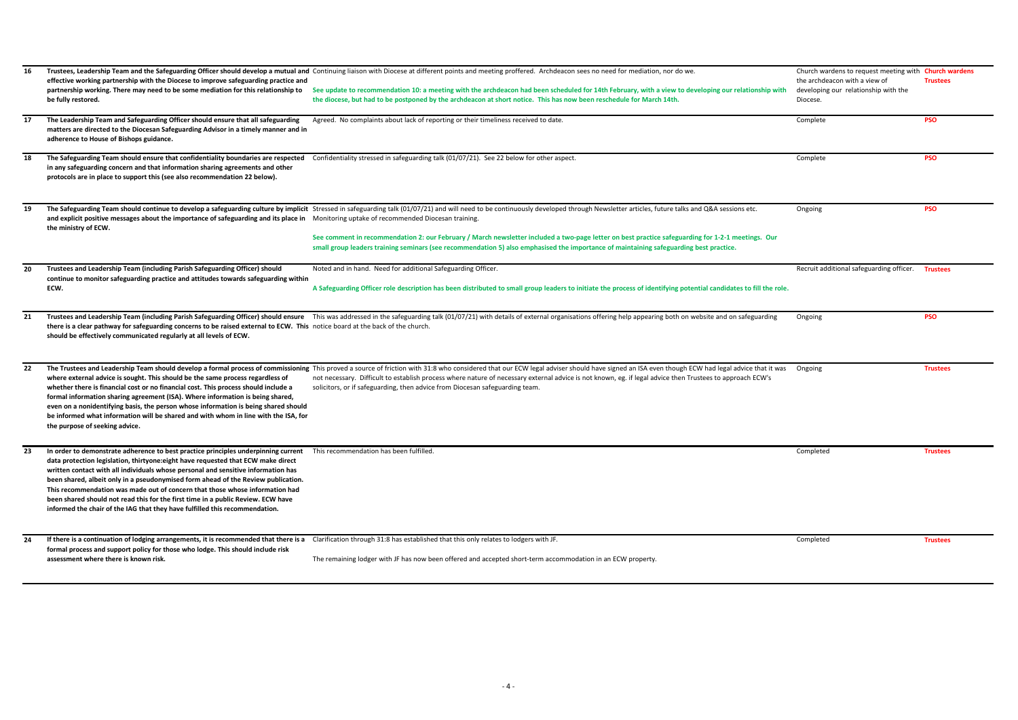| 16<br>17 | effective working partnership with the Diocese to improve safeguarding practice and<br>partnership working. There may need to be some mediation for this relationship to<br>be fully restored.<br>The Leadership Team and Safeguarding Officer should ensure that all safeguarding                                                                                                                                                                                                                                                                                                                  | Trustees, Leadership Team and the Safeguarding Officer should develop a mutual and Continuing liaison with Diocese at different points and meeting proffered. Archdeacon sees no need for mediation, nor do we.<br>See update to recommendation 10: a meeting with the archdeacon had been scheduled for 14th February, with a view to developing our relationship with<br>the diocese, but had to be postponed by the archdeacon at short notice. This has now been reschedule for March 14th.<br>Agreed. No complaints about lack of reporting or their timeliness received to date. | Church wardens to request meeting with <b>Church wardens</b><br>the archdeacon with a view of<br>developing our relationship with the<br>Diocese.<br>Complete | <b>Trustees</b><br><b>PSO</b> |
|----------|-----------------------------------------------------------------------------------------------------------------------------------------------------------------------------------------------------------------------------------------------------------------------------------------------------------------------------------------------------------------------------------------------------------------------------------------------------------------------------------------------------------------------------------------------------------------------------------------------------|----------------------------------------------------------------------------------------------------------------------------------------------------------------------------------------------------------------------------------------------------------------------------------------------------------------------------------------------------------------------------------------------------------------------------------------------------------------------------------------------------------------------------------------------------------------------------------------|---------------------------------------------------------------------------------------------------------------------------------------------------------------|-------------------------------|
|          | matters are directed to the Diocesan Safeguarding Advisor in a timely manner and in<br>adherence to House of Bishops guidance.                                                                                                                                                                                                                                                                                                                                                                                                                                                                      |                                                                                                                                                                                                                                                                                                                                                                                                                                                                                                                                                                                        |                                                                                                                                                               |                               |
| 18       | The Safeguarding Team should ensure that confidentiality boundaries are respected<br>in any safeguarding concern and that information sharing agreements and other<br>protocols are in place to support this (see also recommendation 22 below).                                                                                                                                                                                                                                                                                                                                                    | Confidentiality stressed in safeguarding talk (01/07/21). See 22 below for other aspect.                                                                                                                                                                                                                                                                                                                                                                                                                                                                                               | Complete                                                                                                                                                      | <b>PSO</b>                    |
| 19       | and explicit positive messages about the importance of safeguarding and its place in Monitoring uptake of recommended Diocesan training.<br>the ministry of ECW.                                                                                                                                                                                                                                                                                                                                                                                                                                    | The Safeguarding Team should continue to develop a safeguarding culture by implicit Stressed in safeguarding talk (01/07/21) and will need to be continuously developed through Newsletter articles, future talks and Q&A sess<br>See comment in recommendation 2: our February / March newsletter included a two-page letter on best practice safeguarding for 1-2-1 meetings. Our<br>small group leaders training seminars (see recommendation 5) also emphasised the importance of maintaining safeguarding best practice.                                                          | Ongoing                                                                                                                                                       | <b>PSO</b>                    |
| 20       | Trustees and Leadership Team (including Parish Safeguarding Officer) should<br>continue to monitor safeguarding practice and attitudes towards safeguarding within<br>ECW.                                                                                                                                                                                                                                                                                                                                                                                                                          | Noted and in hand. Need for additional Safeguarding Officer.<br>A Safeguarding Officer role description has been distributed to small group leaders to initiate the process of identifying potential candidates to fill the role.                                                                                                                                                                                                                                                                                                                                                      | Recruit additional safeguarding officer.                                                                                                                      | <b>Trustees</b>               |
| 21       | there is a clear pathway for safeguarding concerns to be raised external to ECW. This notice board at the back of the church.<br>should be effectively communicated regularly at all levels of ECW.                                                                                                                                                                                                                                                                                                                                                                                                 | Trustees and Leadership Team (including Parish Safeguarding Officer) should ensure This was addressed in the safeguarding talk (01/07/21) with details of external organisations offering help appearing both on website and o                                                                                                                                                                                                                                                                                                                                                         | Ongoing                                                                                                                                                       | <b>PSO</b>                    |
| 22       | where external advice is sought. This should be the same process regardless of<br>whether there is financial cost or no financial cost. This process should include a<br>formal information sharing agreement (ISA). Where information is being shared,<br>even on a nonidentifying basis, the person whose information is being shared should<br>be informed what information will be shared and with whom in line with the ISA, for<br>the purpose of seeking advice.                                                                                                                             | The Trustees and Leadership Team should develop a formal process of commissioning This proved a source of friction with 31:8 who considered that our ECW legal adviser should have signed an ISA even though ECW had legal adv<br>not necessary. Difficult to establish process where nature of necessary external advice is not known, eg. if legal advice then Trustees to approach ECW's<br>solicitors, or if safeguarding, then advice from Diocesan safeguarding team.                                                                                                            | Ongoing                                                                                                                                                       | <b>Trustees</b>               |
| 23       | In order to demonstrate adherence to best practice principles underpinning current<br>data protection legislation, thirtyone:eight have requested that ECW make direct<br>written contact with all individuals whose personal and sensitive information has<br>been shared, albeit only in a pseudonymised form ahead of the Review publication.<br>This recommendation was made out of concern that those whose information had<br>been shared should not read this for the first time in a public Review. ECW have<br>informed the chair of the IAG that they have fulfilled this recommendation. | This recommendation has been fulfilled.                                                                                                                                                                                                                                                                                                                                                                                                                                                                                                                                                | Completed                                                                                                                                                     | <b>Trustees</b>               |
| 24       | If there is a continuation of lodging arrangements, it is recommended that there is a<br>formal process and support policy for those who lodge. This should include risk<br>assessment where there is known risk.                                                                                                                                                                                                                                                                                                                                                                                   | Clarification through 31:8 has established that this only relates to lodgers with JF.<br>The remaining lodger with JF has now been offered and accepted short-term accommodation in an ECW property.                                                                                                                                                                                                                                                                                                                                                                                   | Completed                                                                                                                                                     | <b>Trustees</b>               |